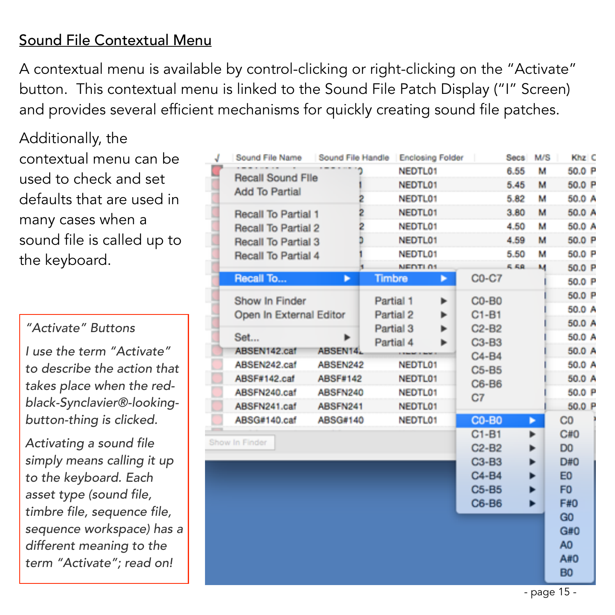## Sound File Contextual Menu

A contextual menu is available by control-clicking or right-clicking on the "Activate" button. This contextual menu is linked to the Sound File Patch Display ("I" Screen) and provides several efficient mechanisms for quickly creating sound file patches.

Additionally, the contextual menu can be used to check and set defaults that are used in many cases when a sound file is called up to the keyboard.

*"Activate" Buttons* 

*I use the term "Activate" to describe the action that takes place when the redblack-Synclavier®-lookingbutton-thing is clicked.* 

*Activating a sound file simply means calling it up to the keyboard. Each asset type (sound file, timbre file, sequence file, sequence workspace) has a different meaning to the term "Activate"; read on!*

|  | Sound File Name         | Sound File Handle |         |                | <b>Enclosing Folder</b> |              | <b>Secs</b> | M/S | Khz C          |
|--|-------------------------|-------------------|---------|----------------|-------------------------|--------------|-------------|-----|----------------|
|  | Recall Sound File       |                   |         | NEDTL01        |                         |              | 6.55        | м   | 50.0 P         |
|  | Add To Partial          |                   |         | NEDTL01        |                         |              | 5.45        | м   | 50.0 P         |
|  |                         |                   |         | NEDTL01        |                         |              | 5.82        | м   | 50.0 A         |
|  | Recall To Partial 1     |                   | 2       | NEDTL01        |                         |              | 3.80        | м   | 50.0 A         |
|  | Recall To Partial 2     |                   |         | NEDTL01        |                         |              | 4.50        | м   | 50.0 A         |
|  | Recall To Partial 3     |                   |         | NEDTL01        |                         |              | 4.59        | м   | 50.0 P         |
|  | Recall To Partial 4     |                   |         | NEDTL01        |                         |              | 5.50        | м   | 50.0 P         |
|  |                         |                   |         | <b>NEDTL01</b> |                         |              | 5.58        | м   | 50.0 P         |
|  | Recall To               | ٠                 |         | <b>Timbre</b>  | ►                       | C0-C7        |             |     | 50.0 P         |
|  | Show In Finder          |                   |         | Partial 1      | ь                       | $CO-BO$      |             |     | 50.0 P         |
|  | Open In External Editor |                   |         | Partial 2      | ►                       | $C1-B1$      |             |     | 50.0 A         |
|  |                         |                   |         | Partial 3      | ь                       | $C2-B2$      |             |     | 50.0 A         |
|  | Set                     |                   |         | Partial 4      |                         | $C3-B3$      |             |     | 50.0 A         |
|  | ABSEN142.caf            | ABSEN14.          |         |                |                         | $C4-B4$      |             |     | 50.0 A         |
|  | ABSEN242.caf            | ABSEN242          |         | NEDTL01        |                         | $C5 - B5$    |             |     | 50.0 A         |
|  | ABSF#142.caf            | ABSF#142          | NEDTL01 |                |                         | C6-B6        |             |     | 50.0 A         |
|  | ABSFN240.caf            | ABSFN240          |         | NEDTL01        |                         | C7           |             |     | 50.0 P         |
|  | ABSFN241.caf            | ABSFN241          |         | NEDTL01        |                         |              |             |     | 50.0 P         |
|  | ABSG#140.caf            | ABSG#140          |         | NEDTL01        |                         | <b>CO-BO</b> |             | ►   | C <sub>0</sub> |
|  | Show In Finder          |                   |         |                |                         | $C1 - B1$    |             | ►   | C#0            |
|  |                         |                   |         |                |                         | $C2-B2$      |             |     | D <sub>0</sub> |
|  |                         |                   |         |                |                         | $C3-B3$      |             | ▶   | D#0            |
|  |                         |                   |         |                |                         | $C4-B4$      |             | ►   | E <sub>0</sub> |
|  |                         |                   |         |                |                         | C5-B5        |             | ь   | F <sub>0</sub> |
|  |                         |                   |         |                |                         | C6-B6        |             | ▶   | F#0            |
|  |                         |                   |         |                |                         |              |             |     | G <sub>0</sub> |
|  |                         |                   |         |                |                         |              |             |     | G#0            |
|  |                         |                   |         |                |                         |              |             |     | A <sub>0</sub> |
|  |                         |                   |         |                |                         |              |             |     | A#0            |
|  |                         |                   |         |                |                         |              |             |     | B <sub>0</sub> |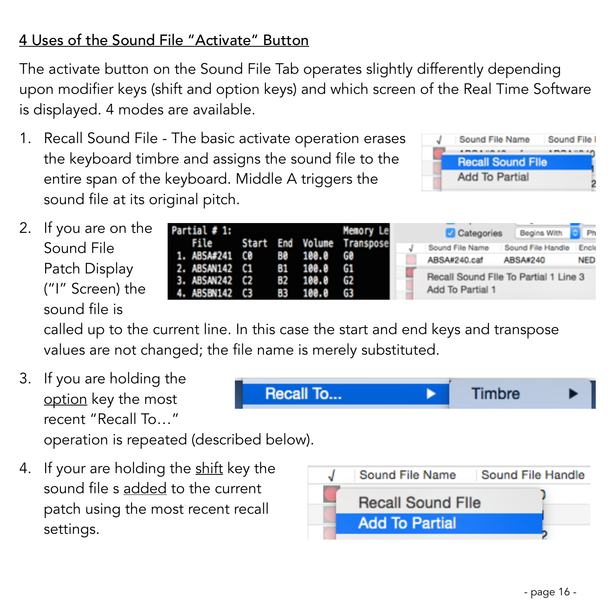# 4 Uses of the Sound File "Activate" Button

The activate button on the Sound File Tab operates slightly differently depending upon modifier keys (shift and option keys) and which screen of the Real Time Software is displayed. 4 modes are available.

1. Recall Sound File - The basic activate operation erases the keyboard timbre and assigns the sound file to the entire span of the keyboard. Middle A triggers the sound file at its original pitch.



Timbre

2. If you are on the Sound File Patch Display ("I" Screen) the sound file is

| Partial # 1:                                                               |             | Memory Le                       | <b>Categories</b>                                         | Begins With       |            |
|----------------------------------------------------------------------------|-------------|---------------------------------|-----------------------------------------------------------|-------------------|------------|
|                                                                            |             | File Start End Volume Transpose | Sound File Name                                           | Sound File Handle | Enck       |
| 1. ABSA#241 C0 B0 100.0 G0                                                 |             |                                 | ABSA#240.caf                                              | ABSA#240          | <b>NED</b> |
| 2. ABSAN142 C1 81 100.0 G1<br>3. ABSAN242 C2 B2 100.0 G2<br>4. ABSBN142 C3 | 83 100.0 G3 |                                 | Recall Sound File To Partial 1 Line 3<br>Add To Partial 1 |                   |            |

called up to the current line. In this case the start and end keys and transpose values are not changed; the file name is merely substituted.

Recall To...

3. If you are holding the option key the most recent "Recall To…"

operation is repeated (described below).

4. If your are holding the shift key the sound file s added to the current patch using the most recent recall settings.

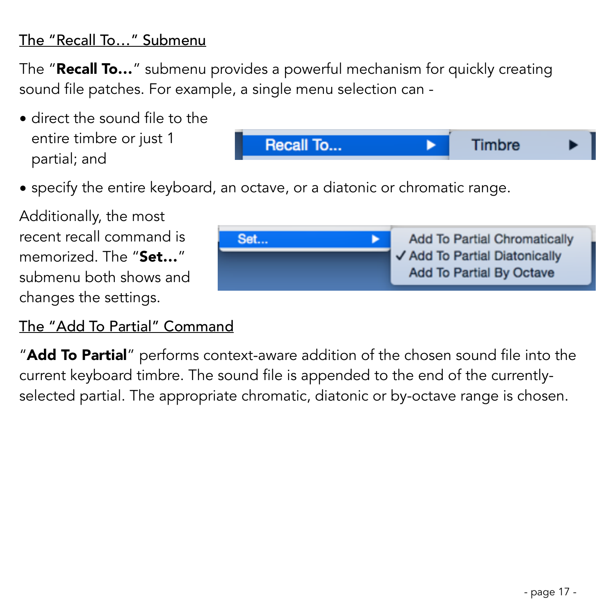### The "Recall To…" Submenu

The "**Recall To...**" submenu provides a powerful mechanism for quickly creating sound file patches. For example, a single menu selection can -

• direct the sound file to the entire timbre or just 1 partial; and



• specify the entire keyboard, an octave, or a diatonic or chromatic range.

Additionally, the most recent recall command is memorized. The "Set..." submenu both shows and changes the settings.

#### The "Add To Partial" Command



"**Add To Partial**" performs context-aware addition of the chosen sound file into the current keyboard timbre. The sound file is appended to the end of the currentlyselected partial. The appropriate chromatic, diatonic or by-octave range is chosen.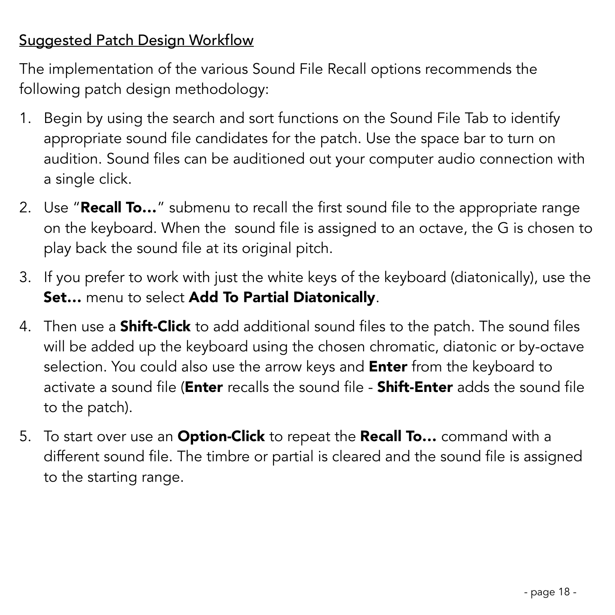## Suggested Patch Design Workflow

The implementation of the various Sound File Recall options recommends the following patch design methodology:

- 1. Begin by using the search and sort functions on the Sound File Tab to identify appropriate sound file candidates for the patch. Use the space bar to turn on audition. Sound files can be auditioned out your computer audio connection with a single click.
- 2. Use "Recall To..." submenu to recall the first sound file to the appropriate range on the keyboard. When the sound file is assigned to an octave, the G is chosen to play back the sound file at its original pitch.
- 3. If you prefer to work with just the white keys of the keyboard (diatonically), use the Set... menu to select Add To Partial Diatonically.
- 4. Then use a **Shift-Click** to add additional sound files to the patch. The sound files will be added up the keyboard using the chosen chromatic, diatonic or by-octave selection. You could also use the arrow keys and **Enter** from the keyboard to activate a sound file (**Enter** recalls the sound file - **Shift-Enter** adds the sound file to the patch).
- 5. To start over use an **Option-Click** to repeat the **Recall To...** command with a different sound file. The timbre or partial is cleared and the sound file is assigned to the starting range.